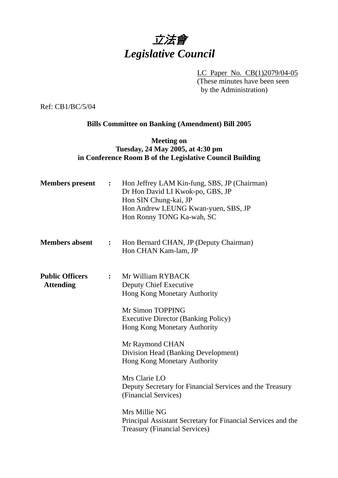# 立法會 *Legislative Council*

LC Paper No. CB(1)2079/04-05 (These minutes have been seen by the Administration)

Ref: CB1/BC/5/04

# **Bills Committee on Banking (Amendment) Bill 2005**

## **Meeting on Tuesday, 24 May 2005, at 4:30 pm in Conference Room B of the Legislative Council Building**

| <b>Members</b> present                     | $\ddot{\cdot}$   | Hon Jeffrey LAM Kin-fung, SBS, JP (Chairman)<br>Dr Hon David LI Kwok-po, GBS, JP<br>Hon SIN Chung-kai, JP<br>Hon Andrew LEUNG Kwan-yuen, SBS, JP<br>Hon Ronny TONG Ka-wah, SC                                                                                                                                                                                                                                                                                                                                |
|--------------------------------------------|------------------|--------------------------------------------------------------------------------------------------------------------------------------------------------------------------------------------------------------------------------------------------------------------------------------------------------------------------------------------------------------------------------------------------------------------------------------------------------------------------------------------------------------|
| <b>Members absent</b>                      | $\ddot{\bullet}$ | Hon Bernard CHAN, JP (Deputy Chairman)<br>Hon CHAN Kam-lam, JP                                                                                                                                                                                                                                                                                                                                                                                                                                               |
| <b>Public Officers</b><br><b>Attending</b> | $\ddot{\cdot}$   | Mr William RYBACK<br><b>Deputy Chief Executive</b><br>Hong Kong Monetary Authority<br>Mr Simon TOPPING<br><b>Executive Director (Banking Policy)</b><br>Hong Kong Monetary Authority<br>Mr Raymond CHAN<br>Division Head (Banking Development)<br>Hong Kong Monetary Authority<br>Mrs Clarie LO<br>Deputy Secretary for Financial Services and the Treasury<br>(Financial Services)<br>Mrs Millie NG<br>Principal Assistant Secretary for Financial Services and the<br><b>Treasury (Financial Services)</b> |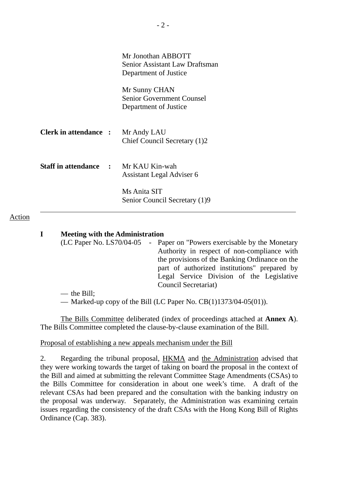|                                             | Mr Jonothan ABBOTT<br>Senior Assistant Law Draftsman<br>Department of Justice |
|---------------------------------------------|-------------------------------------------------------------------------------|
|                                             | Mr Sunny CHAN<br><b>Senior Government Counsel</b><br>Department of Justice    |
| <b>Clerk in attendance : Mr Andy LAU</b>    | Chief Council Secretary (1)2                                                  |
| <b>Staff in attendance : Mr KAU Kin-wah</b> | Assistant Legal Adviser 6                                                     |
|                                             | Ms Anita SIT<br>Senior Council Secretary (1)9                                 |

#### Action

## **I Meeting with the Administration**

|                 | (LC Paper No. LS70/04-05 - Paper on "Powers exercisable by the Monetary |
|-----------------|-------------------------------------------------------------------------|
|                 | Authority in respect of non-compliance with                             |
|                 | the provisions of the Banking Ordinance on the                          |
|                 | part of authorized institutions" prepared by                            |
|                 | Legal Service Division of the Legislative                               |
|                 | Council Secretariat)                                                    |
| $4.5 \cdot 11.$ |                                                                         |

— the Bill;

— Marked-up copy of the Bill (LC Paper No. CB(1)1373/04-05(01)).

 The Bills Committee deliberated (index of proceedings attached at **Annex A**). The Bills Committee completed the clause-by-clause examination of the Bill.

Proposal of establishing a new appeals mechanism under the Bill

2. Regarding the tribunal proposal, HKMA and the Administration advised that they were working towards the target of taking on board the proposal in the context of the Bill and aimed at submitting the relevant Committee Stage Amendments (CSAs) to the Bills Committee for consideration in about one week's time. A draft of the relevant CSAs had been prepared and the consultation with the banking industry on the proposal was underway. Separately, the Administration was examining certain issues regarding the consistency of the draft CSAs with the Hong Kong Bill of Rights Ordinance (Cap. 383).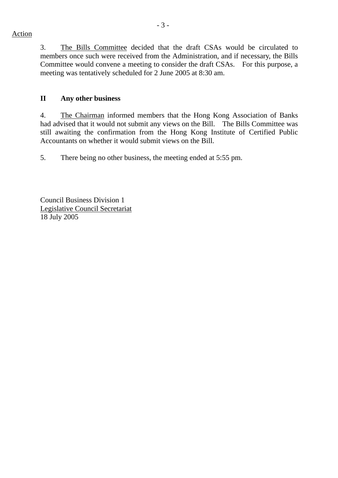3. The Bills Committee decided that the draft CSAs would be circulated to members once such were received from the Administration, and if necessary, the Bills Committee would convene a meeting to consider the draft CSAs. For this purpose, a meeting was tentatively scheduled for 2 June 2005 at 8:30 am.

# **II Any other business**

4. The Chairman informed members that the Hong Kong Association of Banks had advised that it would not submit any views on the Bill. The Bills Committee was still awaiting the confirmation from the Hong Kong Institute of Certified Public Accountants on whether it would submit views on the Bill.

5. There being no other business, the meeting ended at 5:55 pm.

Council Business Division 1 Legislative Council Secretariat 18 July 2005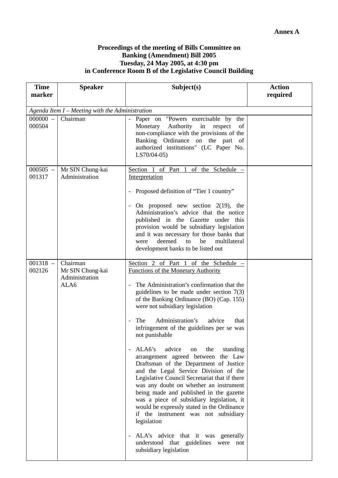### **Proceedings of the meeting of Bills Committee on Banking (Amendment) Bill 2005 Tuesday, 24 May 2005, at 4:30 pm in Conference Room B of the Legislative Council Building**

| <b>Time</b><br>marker | <b>Speaker</b>                                         | Subject(s)                                                                                                                                                                                                                                                                                                                                                                                                                                                                                                                                                                                                                                                                                                                                                                                                                                                                                                                                      | <b>Action</b><br>required |  |  |  |
|-----------------------|--------------------------------------------------------|-------------------------------------------------------------------------------------------------------------------------------------------------------------------------------------------------------------------------------------------------------------------------------------------------------------------------------------------------------------------------------------------------------------------------------------------------------------------------------------------------------------------------------------------------------------------------------------------------------------------------------------------------------------------------------------------------------------------------------------------------------------------------------------------------------------------------------------------------------------------------------------------------------------------------------------------------|---------------------------|--|--|--|
|                       | Agenda Item I - Meeting with the Administration        |                                                                                                                                                                                                                                                                                                                                                                                                                                                                                                                                                                                                                                                                                                                                                                                                                                                                                                                                                 |                           |  |  |  |
| $000000 -$<br>000504  | Chairman                                               | Paper on "Powers exercisable by the<br>Monetary<br>Authority<br>in<br>respect<br>of<br>non-compliance with the provisions of the<br>Banking Ordinance on the part of<br>authorized institutions" (LC Paper No.<br>$LS70/04-05$                                                                                                                                                                                                                                                                                                                                                                                                                                                                                                                                                                                                                                                                                                                  |                           |  |  |  |
| $000505 -$<br>001317  | Mr SIN Chung-kai<br>Administration                     | Section 1 of Part 1 of the Schedule $-$<br>Interpretation<br>Proposed definition of "Tier 1 country"<br>-<br>On proposed new section $2(19)$ , the<br>$\overline{\phantom{a}}$<br>Administration's advice that the notice<br>published in the Gazette under this<br>provision would be subsidiary legislation<br>and it was necessary for those banks that<br>multilateral<br>deemed<br>to<br>be<br>were<br>development banks to be listed out                                                                                                                                                                                                                                                                                                                                                                                                                                                                                                  |                           |  |  |  |
| $001318 -$<br>002126  | Chairman<br>Mr SIN Chung-kai<br>Administration<br>ALA6 | Section 2 of Part 1 of the Schedule -<br><b>Functions of the Monetary Authority</b><br>The Administration's confirmation that the<br>guidelines to be made under section $7(3)$<br>of the Banking Ordinance (BO) (Cap. 155)<br>were not subsidiary legislation<br>Administration's<br>advice<br>The<br>that<br>infringement of the guidelines per se was<br>not punishable<br>ALA6's<br>advice<br>the<br>on<br>standing<br>arrangement agreed between the Law<br>Draftsman of the Department of Justice<br>and the Legal Service Division of the<br>Legislative Council Secretariat that if there<br>was any doubt on whether an instrument<br>being made and published in the gazette<br>was a piece of subsidiary legislation, it<br>would be expressly stated in the Ordinance<br>if the instrument was not subsidiary<br>legislation<br>ALA's advice that it was generally<br>understood that guidelines were not<br>subsidiary legislation |                           |  |  |  |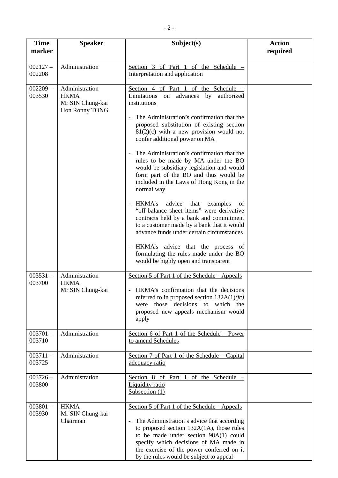| <b>Time</b><br>marker | <b>Speaker</b>                                                      | Subject(s)                                                                                                                                                                                                                                                                                                                                                                                                                                                                                                                                                                                                                                                                                                                                                                                                                                                                       | <b>Action</b><br>required |
|-----------------------|---------------------------------------------------------------------|----------------------------------------------------------------------------------------------------------------------------------------------------------------------------------------------------------------------------------------------------------------------------------------------------------------------------------------------------------------------------------------------------------------------------------------------------------------------------------------------------------------------------------------------------------------------------------------------------------------------------------------------------------------------------------------------------------------------------------------------------------------------------------------------------------------------------------------------------------------------------------|---------------------------|
| $002127 -$<br>002208  | Administration                                                      | Section 3 of Part 1 of the Schedule<br>Interpretation and application                                                                                                                                                                                                                                                                                                                                                                                                                                                                                                                                                                                                                                                                                                                                                                                                            |                           |
| $002209 -$<br>003530  | Administration<br><b>HKMA</b><br>Mr SIN Chung-kai<br>Hon Ronny TONG | Section 4 of Part 1 of the Schedule $-$<br>Limitations<br>advances<br>by<br>authorized<br>on<br>institutions<br>The Administration's confirmation that the<br>proposed substitution of existing section<br>$81(2)(c)$ with a new provision would not<br>confer additional power on MA<br>The Administration's confirmation that the<br>rules to be made by MA under the BO<br>would be subsidiary legislation and would<br>form part of the BO and thus would be<br>included in the Laws of Hong Kong in the<br>normal way<br>HKMA's advice<br>that<br>examples<br>of<br>"off-balance sheet items" were derivative<br>contracts held by a bank and commitment<br>to a customer made by a bank that it would<br>advance funds under certain circumstances<br>HKMA's advice that the process of<br>formulating the rules made under the BO<br>would be highly open and transparent |                           |
| $003531 -$<br>003700  | Administration<br><b>HKMA</b><br>Mr SIN Chung-kai                   | Section 5 of Part 1 of the Schedule - Appeals<br>- HKMA's confirmation that the decisions<br>referred to in proposed section $132A(1)(fc)$<br>were those decisions to which the<br>proposed new appeals mechanism would<br>apply                                                                                                                                                                                                                                                                                                                                                                                                                                                                                                                                                                                                                                                 |                           |
| $003701 -$<br>003710  | Administration                                                      | Section 6 of Part 1 of the Schedule – Power<br>to amend Schedules                                                                                                                                                                                                                                                                                                                                                                                                                                                                                                                                                                                                                                                                                                                                                                                                                |                           |
| $003711 -$<br>003725  | Administration                                                      | Section 7 of Part 1 of the Schedule – Capital<br>adequacy ratio                                                                                                                                                                                                                                                                                                                                                                                                                                                                                                                                                                                                                                                                                                                                                                                                                  |                           |
| $003726 -$<br>003800  | Administration                                                      | Section 8 of Part 1 of the Schedule<br>Liquidity ratio<br>Subsection (1)                                                                                                                                                                                                                                                                                                                                                                                                                                                                                                                                                                                                                                                                                                                                                                                                         |                           |
| $003801 -$<br>003930  | <b>HKMA</b><br>Mr SIN Chung-kai<br>Chairman                         | Section 5 of Part 1 of the Schedule – Appeals<br>The Administration's advice that according<br>to proposed section $132A(1A)$ , those rules<br>to be made under section 98A(1) could<br>specify which decisions of MA made in<br>the exercise of the power conferred on it<br>by the rules would be subject to appeal                                                                                                                                                                                                                                                                                                                                                                                                                                                                                                                                                            |                           |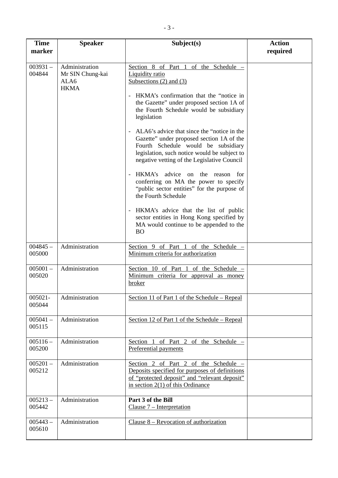| <b>Time</b><br>marker | <b>Speaker</b>                                            | Subject(s)                                                                                                                                                                                                                                                                                                                                                                                                                                                                                                                                                                                                                                                                                                                                                                                                                      | <b>Action</b><br>required |
|-----------------------|-----------------------------------------------------------|---------------------------------------------------------------------------------------------------------------------------------------------------------------------------------------------------------------------------------------------------------------------------------------------------------------------------------------------------------------------------------------------------------------------------------------------------------------------------------------------------------------------------------------------------------------------------------------------------------------------------------------------------------------------------------------------------------------------------------------------------------------------------------------------------------------------------------|---------------------------|
| $003931 -$<br>004844  | Administration<br>Mr SIN Chung-kai<br>ALA6<br><b>HKMA</b> | Section 8 of Part 1 of the Schedule<br><b>Liquidity ratio</b><br>Subsections $(2)$ and $(3)$<br>HKMA's confirmation that the "notice in<br>the Gazette" under proposed section 1A of<br>the Fourth Schedule would be subsidiary<br>legislation<br>ALA6's advice that since the "notice in the<br>Gazette" under proposed section 1A of the<br>Fourth Schedule would be subsidiary<br>legislation, such notice would be subject to<br>negative vetting of the Legislative Council<br>HKMA's<br>advice<br>on<br>the<br>for<br>reason<br>$\overline{\phantom{a}}$<br>conferring on MA the power to specify<br>"public sector entities" for the purpose of<br>the Fourth Schedule<br>HKMA's advice that the list of public<br>sector entities in Hong Kong specified by<br>MA would continue to be appended to the<br><sub>BO</sub> |                           |
| $004845 -$<br>005000  | Administration                                            | Section 9 of Part 1 of the Schedule -<br>Minimum criteria for authorization                                                                                                                                                                                                                                                                                                                                                                                                                                                                                                                                                                                                                                                                                                                                                     |                           |
| $005001 -$<br>005020  | Administration                                            | Section 10 of Part 1 of the Schedule -<br>Minimum criteria for approval as money<br><b>broker</b>                                                                                                                                                                                                                                                                                                                                                                                                                                                                                                                                                                                                                                                                                                                               |                           |
| 005021-<br>005044     | Administration                                            | Section 11 of Part 1 of the Schedule – Repeal                                                                                                                                                                                                                                                                                                                                                                                                                                                                                                                                                                                                                                                                                                                                                                                   |                           |
| $005041 -$<br>005115  | Administration                                            | Section 12 of Part 1 of the Schedule – Repeal                                                                                                                                                                                                                                                                                                                                                                                                                                                                                                                                                                                                                                                                                                                                                                                   |                           |
| $005116 -$<br>005200  | Administration                                            | Section 1 of Part 2 of the Schedule -<br>Preferential payments                                                                                                                                                                                                                                                                                                                                                                                                                                                                                                                                                                                                                                                                                                                                                                  |                           |
| $005201 -$<br>005212  | Administration                                            | Section 2 of Part 2 of the Schedule<br>Deposits specified for purposes of definitions<br>of "protected deposit" and "relevant deposit"<br>in section $2(1)$ of this Ordinance                                                                                                                                                                                                                                                                                                                                                                                                                                                                                                                                                                                                                                                   |                           |
| $005213 -$<br>005442  | Administration                                            | Part 3 of the Bill<br>Clause $7$ – Interpretation                                                                                                                                                                                                                                                                                                                                                                                                                                                                                                                                                                                                                                                                                                                                                                               |                           |
| $005443 -$<br>005610  | Administration                                            | Clause $8$ – Revocation of authorization                                                                                                                                                                                                                                                                                                                                                                                                                                                                                                                                                                                                                                                                                                                                                                                        |                           |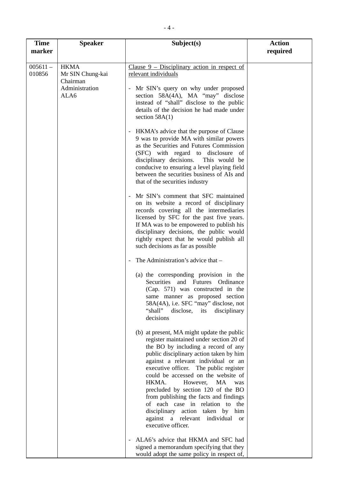| <b>Time</b><br>marker                    | <b>Speaker</b>                  | Subject(s)                                                                                                                                                                                                                                                                                                                                                                                                                                                                                                                                                      | <b>Action</b><br>required |
|------------------------------------------|---------------------------------|-----------------------------------------------------------------------------------------------------------------------------------------------------------------------------------------------------------------------------------------------------------------------------------------------------------------------------------------------------------------------------------------------------------------------------------------------------------------------------------------------------------------------------------------------------------------|---------------------------|
| $005611 -$<br>010856<br>Chairman<br>ALA6 | <b>HKMA</b><br>Mr SIN Chung-kai | Clause $9$ – Disciplinary action in respect of<br>relevant individuals                                                                                                                                                                                                                                                                                                                                                                                                                                                                                          |                           |
|                                          | Administration                  | Mr SIN's query on why under proposed<br>section 58A(4A), MA "may" disclose<br>instead of "shall" disclose to the public<br>details of the decision he had made under<br>section $58A(1)$                                                                                                                                                                                                                                                                                                                                                                        |                           |
|                                          |                                 | - HKMA's advice that the purpose of Clause<br>9 was to provide MA with similar powers<br>as the Securities and Futures Commission<br>(SFC) with regard to disclosure of<br>disciplinary decisions.<br>This would be<br>conducive to ensuring a level playing field<br>between the securities business of AIs and<br>that of the securities industry                                                                                                                                                                                                             |                           |
|                                          |                                 | Mr SIN's comment that SFC maintained<br>on its website a record of disciplinary<br>records covering all the intermediaries<br>licensed by SFC for the past five years.<br>If MA was to be empowered to publish his<br>disciplinary decisions, the public would<br>rightly expect that he would publish all<br>such decisions as far as possible                                                                                                                                                                                                                 |                           |
|                                          |                                 | The Administration's advice that -                                                                                                                                                                                                                                                                                                                                                                                                                                                                                                                              |                           |
|                                          |                                 | (a) the corresponding provision in the<br>Securities<br>and Futures Ordinance<br>(Cap. 571) was constructed in the<br>same manner as proposed section<br>58A(4A), i.e. SFC "may" disclose, not<br>"shall"<br>disclose,<br>its<br>disciplinary<br>decisions                                                                                                                                                                                                                                                                                                      |                           |
|                                          |                                 | (b) at present, MA might update the public<br>register maintained under section 20 of<br>the BO by including a record of any<br>public disciplinary action taken by him<br>against a relevant individual or an<br>executive officer. The public register<br>could be accessed on the website of<br>HKMA.<br>However,<br>MA<br>was<br>precluded by section 120 of the BO<br>from publishing the facts and findings<br>of each case in relation to the<br>disciplinary action taken by<br>him<br>against a relevant individual<br><b>or</b><br>executive officer. |                           |
|                                          |                                 | ALA6's advice that HKMA and SFC had<br>signed a memorandum specifying that they<br>would adopt the same policy in respect of,                                                                                                                                                                                                                                                                                                                                                                                                                                   |                           |